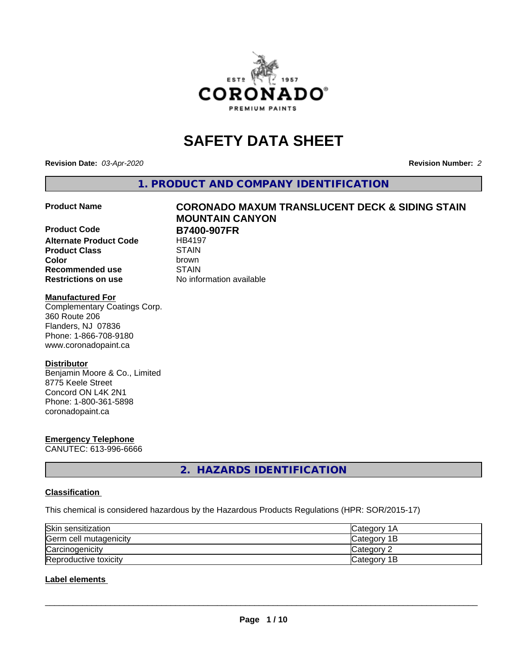

# **SAFETY DATA SHEET**

**Revision Date:** *03-Apr-2020* **Revision Number:** *2*

**1. PRODUCT AND COMPANY IDENTIFICATION**

**Product Code B7400-907FR**<br>Alternate Product Code HB4197 **Alternate Product Code Product Class** STAIN<br> **Color** brown **Color** brown **Recommended use STAIN Restrictions on use** No information available

# **Product Name CORONADO MAXUM TRANSLUCENT DECK & SIDING STAIN MOUNTAIN CANYON**

#### **Manufactured For**

Complementary Coatings Corp. 360 Route 206 Flanders, NJ 07836 Phone: 1-866-708-9180 www.coronadopaint.ca

#### **Distributor**

Benjamin Moore & Co., Limited 8775 Keele Street Concord ON L4K 2N1 Phone: 1-800-361-5898 coronadopaint.ca

# **Emergency Telephone**

CANUTEC: 613-996-6666

**2. HAZARDS IDENTIFICATION**

#### **Classification**

This chemical is considered hazardous by the Hazardous Products Regulations (HPR: SOR/2015-17)

| Skin sensitization     | ICategory 1A |
|------------------------|--------------|
| Germ cell mutagenicity | Category 1B  |
| Carcinogenicity        | lCategorv 2  |
| Reproductive toxicity  | Category 1B  |

#### **Label elements**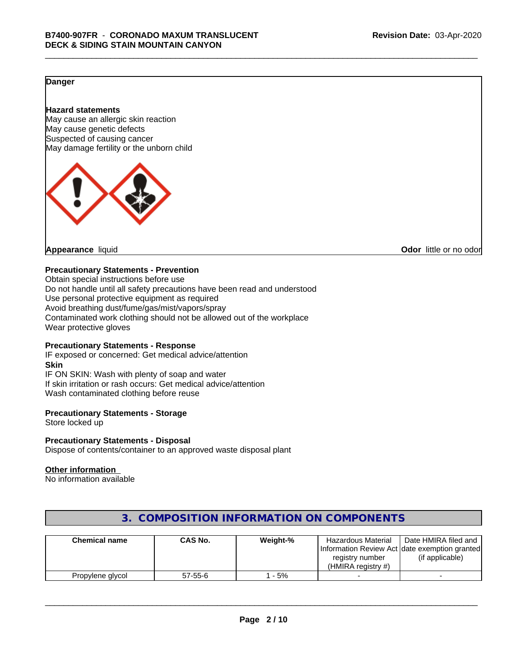#### **Danger**

#### **Hazard statements**

May cause an allergic skin reaction May cause genetic defects Suspected of causing cancer May damage fertility or the unborn child



**Appearance** liquid **CODO** *Appearance liquid* **Odor** *CODO CODO* **<b>***CODO CODO CODO CODO CODO* 

#### **Precautionary Statements - Prevention**

Obtain special instructions before use Do not handle until all safety precautions have been read and understood Use personal protective equipment as required Avoid breathing dust/fume/gas/mist/vapors/spray Contaminated work clothing should not be allowed out of the workplace Wear protective gloves

#### **Precautionary Statements - Response**

IF exposed or concerned: Get medical advice/attention **Skin** IF ON SKIN: Wash with plenty of soap and water If skin irritation or rash occurs: Get medical advice/attention Wash contaminated clothing before reuse

#### **Precautionary Statements - Storage**

Store locked up

#### **Precautionary Statements - Disposal**

Dispose of contents/container to an approved waste disposal plant

#### **Other information**

No information available

| <b>Chemical name</b> | <b>CAS No.</b> | Weight-% | <b>Hazardous Material</b><br>registry number<br>(HMIRA registry $#$ ) | Date HMIRA filed and<br>[Information Review Act date exemption granted]<br>(if applicable) |
|----------------------|----------------|----------|-----------------------------------------------------------------------|--------------------------------------------------------------------------------------------|
| Propylene glycol     | $57 - 55 - 6$  | - 5%     |                                                                       |                                                                                            |

### **3. COMPOSITION INFORMATION ON COMPONENTS**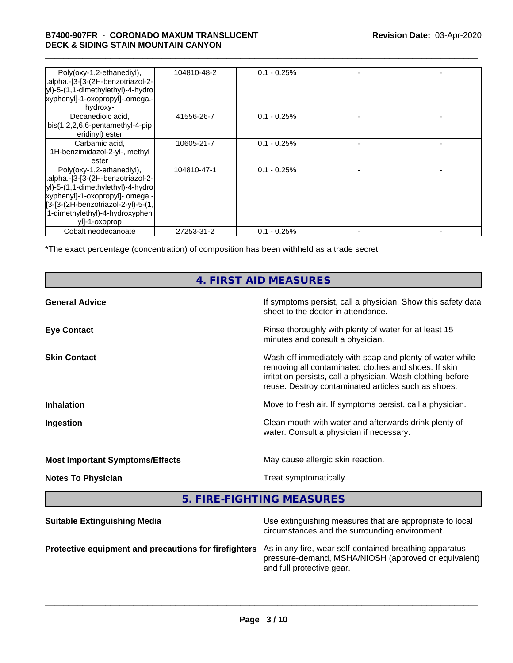# \_\_\_\_\_\_\_\_\_\_\_\_\_\_\_\_\_\_\_\_\_\_\_\_\_\_\_\_\_\_\_\_\_\_\_\_\_\_\_\_\_\_\_\_\_\_\_\_\_\_\_\_\_\_\_\_\_\_\_\_\_\_\_\_\_\_\_\_\_\_\_\_\_\_\_\_\_\_\_\_\_\_\_\_\_\_\_\_\_\_\_\_\_ **B7400-907FR** - **CORONADO MAXUM TRANSLUCENT DECK & SIDING STAIN MOUNTAIN CANYON**

| Poly(oxy-1,2-ethanediyl),<br>.alpha.-[3-[3-(2H-benzotriazol-2-<br>yl)-5-(1,1-dimethylethyl)-4-hydro<br>xyphenyl]-1-oxopropyl]-.omega.-<br>hydroxy-                                                                                                        | 104810-48-2 | $0.1 - 0.25%$ |  |
|-----------------------------------------------------------------------------------------------------------------------------------------------------------------------------------------------------------------------------------------------------------|-------------|---------------|--|
| Decanedioic acid.<br>bis(1,2,2,6,6-pentamethyl-4-pip<br>eridinyl) ester                                                                                                                                                                                   | 41556-26-7  | $0.1 - 0.25%$ |  |
| Carbamic acid,<br>1H-benzimidazol-2-yl-, methyl<br>ester                                                                                                                                                                                                  | 10605-21-7  | $0.1 - 0.25%$ |  |
| Poly(oxy-1,2-ethanediyl),<br>.alpha.-[3-[3-(2H-benzotriazol-2-<br>yl)-5-(1,1-dimethylethyl)-4-hydro<br>xyphenyl]-1-oxopropyl]-.omega.-<br>$\left[3 - [3 - (2H - benzotriazol-2 - y)] - 5 - (1)\right]$<br>1-dimethylethyl)-4-hydroxyphen<br>yll-1-oxoprop | 104810-47-1 | $0.1 - 0.25%$ |  |
| Cobalt neodecanoate                                                                                                                                                                                                                                       | 27253-31-2  | $0.1 - 0.25%$ |  |

\*The exact percentage (concentration) of composition has been withheld as a trade secret

## **4. FIRST AID MEASURES**

| <b>General Advice</b>                  | If symptoms persist, call a physician. Show this safety data<br>sheet to the doctor in attendance.                                                                                                                                     |
|----------------------------------------|----------------------------------------------------------------------------------------------------------------------------------------------------------------------------------------------------------------------------------------|
| <b>Eye Contact</b>                     | Rinse thoroughly with plenty of water for at least 15<br>minutes and consult a physician.                                                                                                                                              |
| <b>Skin Contact</b>                    | Wash off immediately with soap and plenty of water while<br>removing all contaminated clothes and shoes. If skin<br>irritation persists, call a physician. Wash clothing before<br>reuse. Destroy contaminated articles such as shoes. |
| <b>Inhalation</b>                      | Move to fresh air. If symptoms persist, call a physician.                                                                                                                                                                              |
| Ingestion                              | Clean mouth with water and afterwards drink plenty of<br>water. Consult a physician if necessary.                                                                                                                                      |
| <b>Most Important Symptoms/Effects</b> | May cause allergic skin reaction.                                                                                                                                                                                                      |
| <b>Notes To Physician</b>              | Treat symptomatically.                                                                                                                                                                                                                 |
|                                        |                                                                                                                                                                                                                                        |

**5. FIRE-FIGHTING MEASURES**

| <b>Suitable Extinguishing Media</b>                                                                           | Use extinguishing measures that are appropriate to local<br>circumstances and the surrounding environment. |
|---------------------------------------------------------------------------------------------------------------|------------------------------------------------------------------------------------------------------------|
| Protective equipment and precautions for firefighters As in any fire, wear self-contained breathing apparatus | pressure-demand, MSHA/NIOSH (approved or equivalent)<br>and full protective gear.                          |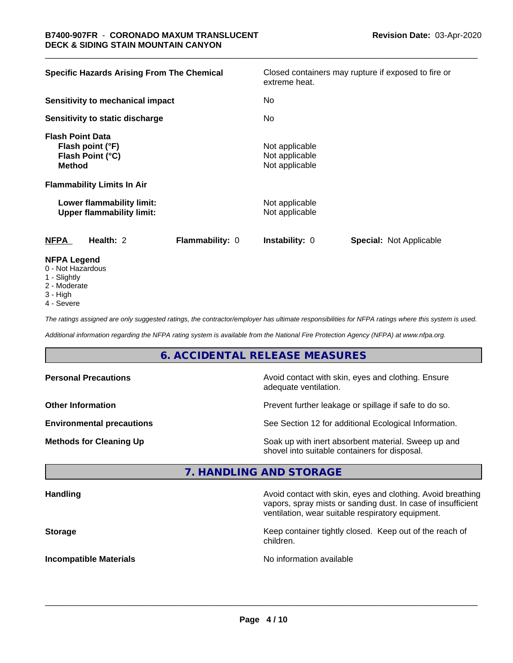| <b>Specific Hazards Arising From The Chemical</b>                                | Closed containers may rupture if exposed to fire or<br>extreme heat. |
|----------------------------------------------------------------------------------|----------------------------------------------------------------------|
| Sensitivity to mechanical impact                                                 | No.                                                                  |
| Sensitivity to static discharge                                                  | No                                                                   |
| <b>Flash Point Data</b><br>Flash point (°F)<br>Flash Point (°C)<br><b>Method</b> | Not applicable<br>Not applicable<br>Not applicable                   |
| <b>Flammability Limits In Air</b>                                                |                                                                      |
| Lower flammability limit:<br><b>Upper flammability limit:</b>                    | Not applicable<br>Not applicable                                     |
| <b>NFPA</b><br>Health: 2<br>Flammability: 0                                      | Special: Not Applicable<br>Instability: 0                            |
| <b>NFPA Legend</b><br>0 Not Hozordous                                            |                                                                      |

- 0 Not Hazardous
- 1 Slightly
- 2 Moderate
- 3 High
- 4 Severe

*The ratings assigned are only suggested ratings, the contractor/employer has ultimate responsibilities for NFPA ratings where this system is used.*

*Additional information regarding the NFPA rating system is available from the National Fire Protection Agency (NFPA) at www.nfpa.org.*

### **6. ACCIDENTAL RELEASE MEASURES**

| <b>Personal Precautions</b>      | Avoid contact with skin, eyes and clothing. Ensure<br>adequate ventilation.                          |
|----------------------------------|------------------------------------------------------------------------------------------------------|
| <b>Other Information</b>         | Prevent further leakage or spillage if safe to do so.                                                |
| <b>Environmental precautions</b> | See Section 12 for additional Ecological Information.                                                |
| <b>Methods for Cleaning Up</b>   | Soak up with inert absorbent material. Sweep up and<br>shovel into suitable containers for disposal. |

#### **7. HANDLING AND STORAGE**

| <b>Handling</b>               | Avoid contact with skin, eyes and clothing. Avoid breathing<br>vapors, spray mists or sanding dust. In case of insufficient<br>ventilation, wear suitable respiratory equipment. |
|-------------------------------|----------------------------------------------------------------------------------------------------------------------------------------------------------------------------------|
| <b>Storage</b>                | Keep container tightly closed. Keep out of the reach of<br>children.                                                                                                             |
| <b>Incompatible Materials</b> | No information available                                                                                                                                                         |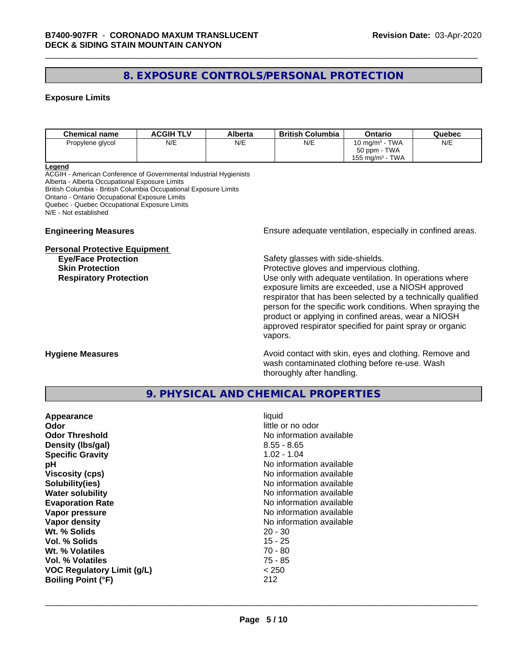### **8. EXPOSURE CONTROLS/PERSONAL PROTECTION**

#### **Exposure Limits**

| <b>Chemical name</b> | <b>ACGIH TLV</b> | Alberta | <b>British Columbia</b> | Ontario                        | Quebec |
|----------------------|------------------|---------|-------------------------|--------------------------------|--------|
| Propylene glycol     | N/E              | N/E     | N/E                     | 10 mg/m $3$ - TWA              | N/E    |
|                      |                  |         |                         | 50 ppm - TWA                   |        |
|                      |                  |         |                         | TWA<br>155 mg/m <sup>3</sup> - |        |

#### **Legend**

ACGIH - American Conference of Governmental Industrial Hygienists Alberta - Alberta Occupational Exposure Limits British Columbia - British Columbia Occupational Exposure Limits Ontario - Ontario Occupational Exposure Limits Quebec - Quebec Occupational Exposure Limits N/E - Not established

#### **Personal Protective Equipment**

**Engineering Measures Ensure** Ensure adequate ventilation, especially in confined areas.

**Eye/Face Protection Safety glasses with side-shields.** 

**Skin Protection Protection Protective gloves and impervious clothing. Respiratory Protection Exercise 2018** Use only with adequate ventilation. In operations where exposure limits are exceeded, use a NIOSH approved respirator that has been selected by a technically qualified person for the specific work conditions. When spraying the product or applying in confined areas, wear a NIOSH approved respirator specified for paint spray or organic vapors.

**Hygiene Measures Avoid contact with skin, eyes and clothing. Remove and Avoid contact with skin, eyes and clothing. Remove and Avoid contact with skin, eyes and clothing. Remove and** wash contaminated clothing before re-use. Wash thoroughly after handling.

#### **9. PHYSICAL AND CHEMICAL PROPERTIES**

| Appearance                        | liquid                   |
|-----------------------------------|--------------------------|
| Odor                              | little or no odor        |
| <b>Odor Threshold</b>             | No information available |
| Density (Ibs/gal)                 | $8.55 - 8.65$            |
| <b>Specific Gravity</b>           | $1.02 - 1.04$            |
| рH                                | No information available |
| <b>Viscosity (cps)</b>            | No information available |
| Solubility(ies)                   | No information available |
| <b>Water solubility</b>           | No information available |
| <b>Evaporation Rate</b>           | No information available |
| Vapor pressure                    | No information available |
| Vapor density                     | No information available |
| Wt. % Solids                      | $20 - 30$                |
| Vol. % Solids                     | $15 - 25$                |
| Wt. % Volatiles                   | $70 - 80$                |
| Vol. % Volatiles                  | 75 - 85                  |
| <b>VOC Regulatory Limit (g/L)</b> | < 250                    |
| <b>Boiling Point (°F)</b>         | 212                      |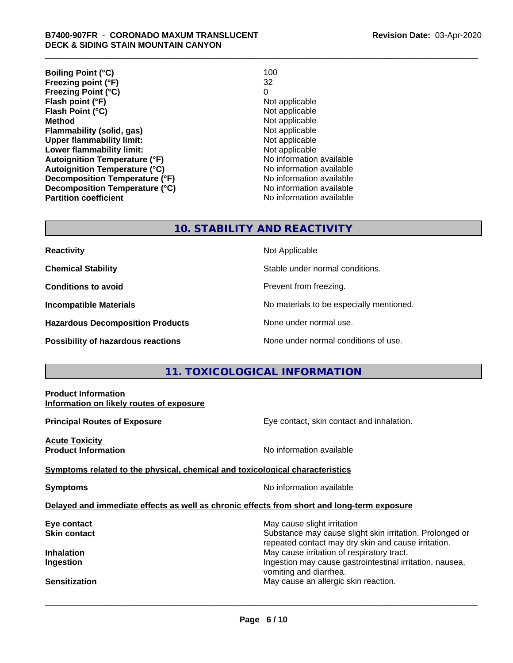| 100                      |
|--------------------------|
| 32                       |
| 0                        |
| Not applicable           |
| Not applicable           |
| Not applicable           |
| Not applicable           |
| Not applicable           |
| Not applicable           |
| No information available |
| No information available |
| No information available |
| No information available |
| No information available |
|                          |

#### **10. STABILITY AND REACTIVITY**

| <b>Reactivity</b> |  |
|-------------------|--|
|-------------------|--|

**Hazardous Decomposition Products** None under normal use.

**Reactivity** Not Applicable

**Chemical Stability Chemical Stability** Stable under normal conditions.

**Conditions to avoid Conditions reading**.

**Incompatible Materials No materials** No materials to be especially mentioned.

**Possibility of hazardous reactions** None under normal conditions of use.

#### **11. TOXICOLOGICAL INFORMATION**

| <b>Product Information</b><br>Information on likely routes of exposure                     |                                                                                                                                                |
|--------------------------------------------------------------------------------------------|------------------------------------------------------------------------------------------------------------------------------------------------|
| <b>Principal Routes of Exposure</b>                                                        | Eye contact, skin contact and inhalation.                                                                                                      |
| <b>Acute Toxicity</b><br><b>Product Information</b>                                        | No information available                                                                                                                       |
| Symptoms related to the physical, chemical and toxicological characteristics               |                                                                                                                                                |
| <b>Symptoms</b>                                                                            | No information available                                                                                                                       |
| Delayed and immediate effects as well as chronic effects from short and long-term exposure |                                                                                                                                                |
| Eye contact<br>Skin contact                                                                | May cause slight irritation<br>Substance may cause slight skin irritation. Prolonged or<br>repeated contact may dry skin and cause irritation. |
| Inhalation<br>Ingestion                                                                    | May cause irritation of respiratory tract.<br>Ingestion may cause gastrointestinal irritation, nausea,<br>vomiting and diarrhea.               |
| Sensitization                                                                              | May cause an allergic skin reaction.                                                                                                           |
|                                                                                            |                                                                                                                                                |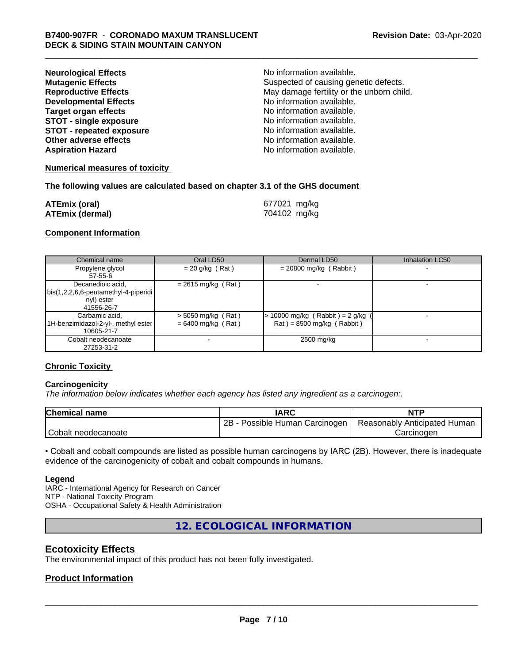| <b>Neurological Effects</b>     | No information available.                 |
|---------------------------------|-------------------------------------------|
| <b>Mutagenic Effects</b>        | Suspected of causing genetic defects.     |
| <b>Reproductive Effects</b>     | May damage fertility or the unborn child. |
| <b>Developmental Effects</b>    | No information available.                 |
| Target organ effects            | No information available.                 |
| <b>STOT - single exposure</b>   | No information available.                 |
| <b>STOT - repeated exposure</b> | No information available.                 |
| Other adverse effects           | No information available.                 |
| <b>Aspiration Hazard</b>        | No information available.                 |

#### **Numerical measures of toxicity**

#### **The following values are calculated based on chapter 3.1 of the GHS document**

| <b>ATEmix (oral)</b>   | 677021 mg/kg |
|------------------------|--------------|
| <b>ATEmix (dermal)</b> | 704102 mg/kg |

#### **Component Information**

| Chemical name                                                                           | Oral LD50                                    | Dermal LD50                                                        | Inhalation LC50 |
|-----------------------------------------------------------------------------------------|----------------------------------------------|--------------------------------------------------------------------|-----------------|
| Propylene glycol<br>57-55-6                                                             | $= 20$ g/kg (Rat)                            | $= 20800$ mg/kg (Rabbit)                                           |                 |
| Decanedioic acid,<br>  bis(1,2,2,6,6-pentamethyl-4-piperidi<br>nyl) ester<br>41556-26-7 | $= 2615$ mg/kg (Rat)                         |                                                                    |                 |
| Carbamic acid,<br>1H-benzimidazol-2-yl-, methyl ester  <br>10605-21-7                   | $>$ 5050 mg/kg (Rat)<br>$= 6400$ mg/kg (Rat) | $> 10000$ mg/kg (Rabbit) = 2 g/kg (<br>$Rat$ = 8500 mg/kg (Rabbit) |                 |
| Cobalt neodecanoate<br>27253-31-2                                                       |                                              | 2500 mg/kg                                                         |                 |

#### **Chronic Toxicity**

#### **Carcinogenicity**

*The information below indicateswhether each agency has listed any ingredient as a carcinogen:.*

| <b>Chemical name</b> | <b>IARC</b>                     | <b>NTP</b>                   |
|----------------------|---------------------------------|------------------------------|
|                      | 2B<br>Possible Human Carcinogen | Reasonably Anticipated Human |
| Cobalt neodecanoate  |                                 | Carcinoden                   |

• Cobalt and cobalt compounds are listed as possible human carcinogens by IARC (2B). However, there is inadequate evidence of the carcinogenicity of cobalt and cobalt compounds in humans.

#### **Legend**

IARC - International Agency for Research on Cancer NTP - National Toxicity Program OSHA - Occupational Safety & Health Administration

**12. ECOLOGICAL INFORMATION**

#### **Ecotoxicity Effects**

The environmental impact of this product has not been fully investigated.

#### **Product Information**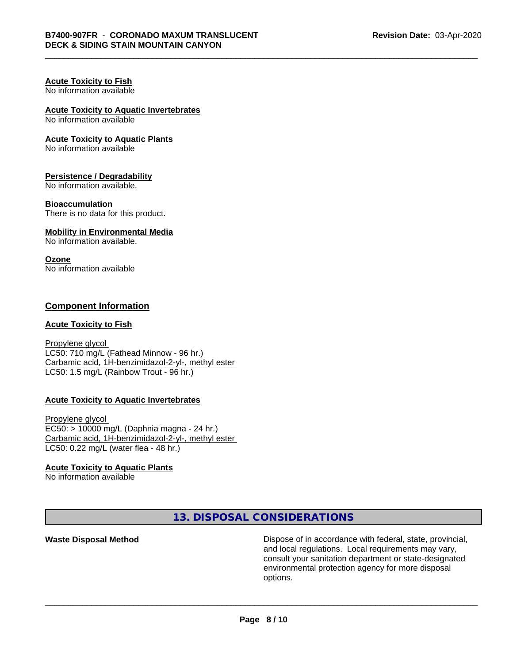#### **Acute Toxicity to Fish** No information available

### **Acute Toxicity to Aquatic Invertebrates**

No information available

#### **Acute Toxicity to Aquatic Plants**

No information available

#### **Persistence / Degradability**

No information available.

#### **Bioaccumulation**

There is no data for this product.

#### **Mobility in Environmental Media**

No information available.

#### **Ozone**

No information available

#### **Component Information**

#### **Acute Toxicity to Fish**

Propylene glycol LC50: 710 mg/L (Fathead Minnow - 96 hr.) Carbamic acid, 1H-benzimidazol-2-yl-, methyl ester LC50: 1.5 mg/L (Rainbow Trout - 96 hr.)

#### **Acute Toxicity to Aquatic Invertebrates**

Propylene glycol EC50: > 10000 mg/L (Daphnia magna - 24 hr.) Carbamic acid, 1H-benzimidazol-2-yl-, methyl ester LC50: 0.22 mg/L (water flea - 48 hr.)

#### **Acute Toxicity to Aquatic Plants**

No information available

**13. DISPOSAL CONSIDERATIONS**

**Waste Disposal Method Dispose of in accordance with federal, state, provincial,** and local regulations. Local requirements may vary, consult your sanitation department or state-designated environmental protection agency for more disposal options.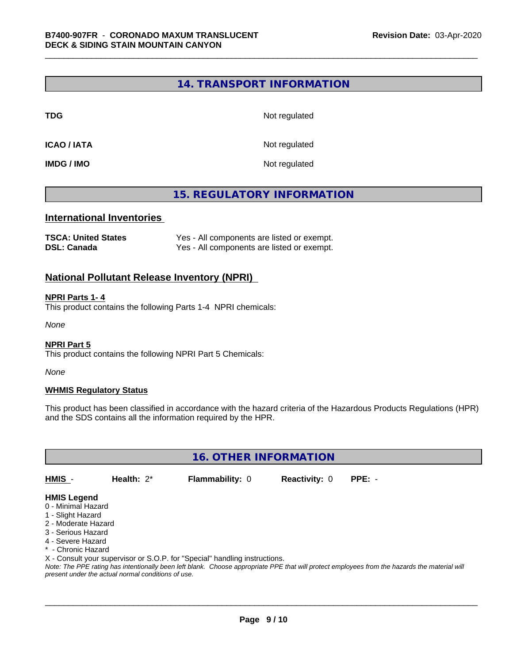#### **14. TRANSPORT INFORMATION**

**TDG** Not regulated

**ICAO / IATA** Not regulated

**IMDG / IMO** Not regulated

#### **15. REGULATORY INFORMATION**

#### **International Inventories**

| <b>TSCA: United States</b> | Yes - All components are listed or exempt. |
|----------------------------|--------------------------------------------|
| <b>DSL: Canada</b>         | Yes - All components are listed or exempt. |

#### **National Pollutant Release Inventory (NPRI)**

#### **NPRI Parts 1- 4**

This product contains the following Parts 1-4 NPRI chemicals:

*None*

#### **NPRI Part 5**

This product contains the following NPRI Part 5 Chemicals:

*None*

#### **WHMIS Regulatory Status**

This product has been classified in accordance with the hazard criteria of the Hazardous Products Regulations (HPR) and the SDS contains all the information required by the HPR.

**16. OTHER INFORMATION**

**HMIS** - **Health:** 2\* **Flammability:** 0 **Reactivity:** 0 **PPE:** -

 $\overline{\phantom{a}}$  ,  $\overline{\phantom{a}}$  ,  $\overline{\phantom{a}}$  ,  $\overline{\phantom{a}}$  ,  $\overline{\phantom{a}}$  ,  $\overline{\phantom{a}}$  ,  $\overline{\phantom{a}}$  ,  $\overline{\phantom{a}}$  ,  $\overline{\phantom{a}}$  ,  $\overline{\phantom{a}}$  ,  $\overline{\phantom{a}}$  ,  $\overline{\phantom{a}}$  ,  $\overline{\phantom{a}}$  ,  $\overline{\phantom{a}}$  ,  $\overline{\phantom{a}}$  ,  $\overline{\phantom{a}}$ 

#### **HMIS Legend**

- 0 Minimal Hazard
- 1 Slight Hazard
- 2 Moderate Hazard
- 3 Serious Hazard
- 4 Severe Hazard
- \* Chronic Hazard
- X Consult your supervisor or S.O.P. for "Special" handling instructions.

*Note: The PPE rating has intentionally been left blank. Choose appropriate PPE that will protect employees from the hazards the material will present under the actual normal conditions of use.*